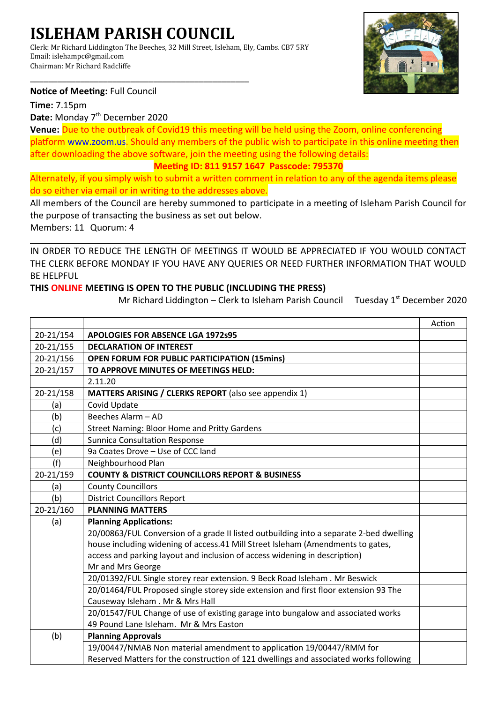# **ISLEHAM PARISH COUNCIL**

\_\_\_\_\_\_\_\_\_\_\_\_\_\_\_\_\_\_\_\_\_\_\_\_\_\_\_\_\_\_\_\_\_\_\_\_\_\_\_\_\_\_\_\_\_\_\_\_

Clerk: Mr Richard Liddington The Beeches, 32 Mill Street, Isleham, Ely, Cambs. CB7 5RY Email: islehampc@gmail.com Chairman: Mr Richard Radcliffe



### **Notice of Meeting:** Full Council

**Time:** 7.15pm

Date: Monday 7<sup>th</sup> December 2020

**Venue:** Due to the outbreak of Covid19 this meeting will be held using the Zoom, online conferencing platform [www.zoom.us.](http://www.zoom.us/) Should any members of the public wish to participate in this online meeting then after downloading the above software, join the meeting using the following details:

### **Meeting ID: 811 9157 1647 Passcode: 795370**

Alternately, if you simply wish to submit a written comment in relation to any of the agenda items please do so either via email or in writing to the addresses above.

All members of the Council are hereby summoned to participate in a meeting of Isleham Parish Council for the purpose of transacting the business as set out below.

Members: 11 Quorum: 4

IN ORDER TO REDUCE THE LENGTH OF MEETINGS IT WOULD BE APPRECIATED IF YOU WOULD CONTACT THE CLERK BEFORE MONDAY IF YOU HAVE ANY QUERIES OR NEED FURTHER INFORMATION THAT WOULD BE HELPFUL

## **THIS ONLINE MEETING IS OPEN TO THE PUBLIC (INCLUDING THE PRESS)**

Mr Richard Liddington – Clerk to Isleham Parish Council Tuesday 1<sup>st</sup> December 2020

|           |                                                                                         | Action |
|-----------|-----------------------------------------------------------------------------------------|--------|
| 20-21/154 | <b>APOLOGIES FOR ABSENCE LGA 1972s95</b>                                                |        |
| 20-21/155 | <b>DECLARATION OF INTEREST</b>                                                          |        |
| 20-21/156 | <b>OPEN FORUM FOR PUBLIC PARTICIPATION (15mins)</b>                                     |        |
| 20-21/157 | TO APPROVE MINUTES OF MEETINGS HELD:                                                    |        |
|           | 2.11.20                                                                                 |        |
| 20-21/158 | MATTERS ARISING / CLERKS REPORT (also see appendix 1)                                   |        |
| (a)       | Covid Update                                                                            |        |
| (b)       | Beeches Alarm - AD                                                                      |        |
| (c)       | <b>Street Naming: Bloor Home and Pritty Gardens</b>                                     |        |
| (d)       | <b>Sunnica Consultation Response</b>                                                    |        |
| (e)       | 9a Coates Drove - Use of CCC land                                                       |        |
| (f)       | Neighbourhood Plan                                                                      |        |
| 20-21/159 | <b>COUNTY &amp; DISTRICT COUNCILLORS REPORT &amp; BUSINESS</b>                          |        |
| (a)       | <b>County Councillors</b>                                                               |        |
| (b)       | <b>District Councillors Report</b>                                                      |        |
| 20-21/160 | <b>PLANNING MATTERS</b>                                                                 |        |
| (a)       | <b>Planning Applications:</b>                                                           |        |
|           | 20/00863/FUL Conversion of a grade II listed outbuilding into a separate 2-bed dwelling |        |
|           | house including widening of access.41 Mill Street Isleham (Amendments to gates,         |        |
|           | access and parking layout and inclusion of access widening in description)              |        |
|           | Mr and Mrs George                                                                       |        |
|           | 20/01392/FUL Single storey rear extension. 9 Beck Road Isleham. Mr Beswick              |        |
|           | 20/01464/FUL Proposed single storey side extension and first floor extension 93 The     |        |
|           | Causeway Isleham . Mr & Mrs Hall                                                        |        |
|           | 20/01547/FUL Change of use of existing garage into bungalow and associated works        |        |
|           | 49 Pound Lane Isleham. Mr & Mrs Easton                                                  |        |
| (b)       | <b>Planning Approvals</b>                                                               |        |
|           | 19/00447/NMAB Non material amendment to application 19/00447/RMM for                    |        |
|           | Reserved Matters for the construction of 121 dwellings and associated works following   |        |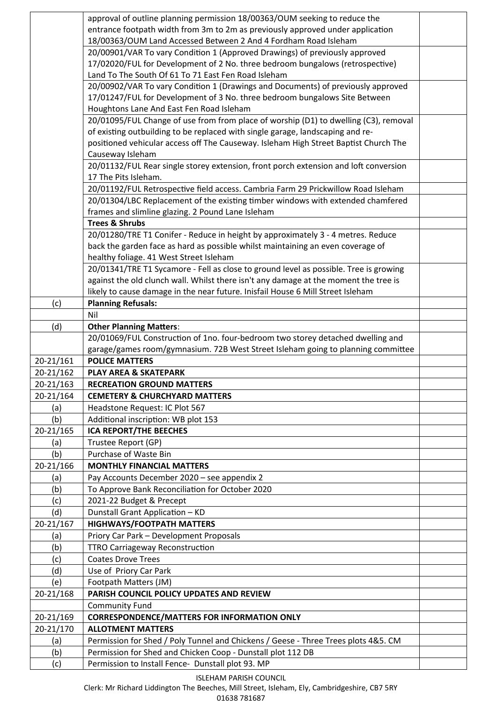|           | approval of outline planning permission 18/00363/OUM seeking to reduce the                                       |  |
|-----------|------------------------------------------------------------------------------------------------------------------|--|
|           | entrance footpath width from 3m to 2m as previously approved under application                                   |  |
|           | 18/00363/OUM Land Accessed Between 2 And 4 Fordham Road Isleham                                                  |  |
|           | 20/00901/VAR To vary Condition 1 (Approved Drawings) of previously approved                                      |  |
|           | 17/02020/FUL for Development of 2 No. three bedroom bungalows (retrospective)                                    |  |
|           | Land To The South Of 61 To 71 East Fen Road Isleham                                                              |  |
|           | 20/00902/VAR To vary Condition 1 (Drawings and Documents) of previously approved                                 |  |
|           | 17/01247/FUL for Development of 3 No. three bedroom bungalows Site Between                                       |  |
|           | Houghtons Lane And East Fen Road Isleham                                                                         |  |
|           | 20/01095/FUL Change of use from from place of worship (D1) to dwelling (C3), removal                             |  |
|           | of existing outbuilding to be replaced with single garage, landscaping and re-                                   |  |
|           | positioned vehicular access off The Causeway. Isleham High Street Baptist Church The                             |  |
|           | Causeway Isleham                                                                                                 |  |
|           | 20/01132/FUL Rear single storey extension, front porch extension and loft conversion                             |  |
|           | 17 The Pits Isleham.                                                                                             |  |
|           | 20/01192/FUL Retrospective field access. Cambria Farm 29 Prickwillow Road Isleham                                |  |
|           | 20/01304/LBC Replacement of the existing timber windows with extended chamfered                                  |  |
|           | frames and slimline glazing. 2 Pound Lane Isleham                                                                |  |
|           | <b>Trees &amp; Shrubs</b>                                                                                        |  |
|           | 20/01280/TRE T1 Conifer - Reduce in height by approximately 3 - 4 metres. Reduce                                 |  |
|           | back the garden face as hard as possible whilst maintaining an even coverage of                                  |  |
|           | healthy foliage. 41 West Street Isleham                                                                          |  |
|           | 20/01341/TRE T1 Sycamore - Fell as close to ground level as possible. Tree is growing                            |  |
|           | against the old clunch wall. Whilst there isn't any damage at the moment the tree is                             |  |
|           | likely to cause damage in the near future. Inisfail House 6 Mill Street Isleham                                  |  |
| (c)       | <b>Planning Refusals:</b>                                                                                        |  |
|           | Nil                                                                                                              |  |
| (d)       | <b>Other Planning Matters:</b>                                                                                   |  |
|           |                                                                                                                  |  |
|           |                                                                                                                  |  |
|           | 20/01069/FUL Construction of 1no. four-bedroom two storey detached dwelling and                                  |  |
|           | garage/games room/gymnasium. 72B West Street Isleham going to planning committee                                 |  |
| 20-21/161 | <b>POLICE MATTERS</b>                                                                                            |  |
| 20-21/162 | <b>PLAY AREA &amp; SKATEPARK</b>                                                                                 |  |
| 20-21/163 | <b>RECREATION GROUND MATTERS</b>                                                                                 |  |
| 20-21/164 | <b>CEMETERY &amp; CHURCHYARD MATTERS</b>                                                                         |  |
| (a)       | Headstone Request: IC Plot 567                                                                                   |  |
| (b)       | Additional inscription: WB plot 153                                                                              |  |
| 20-21/165 | <b>ICA REPORT/THE BEECHES</b>                                                                                    |  |
| (a)       | Trustee Report (GP)                                                                                              |  |
| (b)       | Purchase of Waste Bin                                                                                            |  |
| 20-21/166 | <b>MONTHLY FINANCIAL MATTERS</b>                                                                                 |  |
| (a)       | Pay Accounts December 2020 - see appendix 2                                                                      |  |
| (b)       | To Approve Bank Reconciliation for October 2020                                                                  |  |
| (c)       | 2021-22 Budget & Precept                                                                                         |  |
| (d)       | Dunstall Grant Application - KD                                                                                  |  |
| 20-21/167 | <b>HIGHWAYS/FOOTPATH MATTERS</b>                                                                                 |  |
| (a)       | Priory Car Park - Development Proposals                                                                          |  |
| (b)       | <b>TTRO Carriageway Reconstruction</b>                                                                           |  |
| (c)       | <b>Coates Drove Trees</b>                                                                                        |  |
| (d)       | Use of Priory Car Park                                                                                           |  |
| (e)       | Footpath Matters (JM)                                                                                            |  |
| 20-21/168 | PARISH COUNCIL POLICY UPDATES AND REVIEW                                                                         |  |
|           | <b>Community Fund</b>                                                                                            |  |
| 20-21/169 | <b>CORRESPONDENCE/MATTERS FOR INFORMATION ONLY</b>                                                               |  |
| 20-21/170 | <b>ALLOTMENT MATTERS</b>                                                                                         |  |
| (a)       | Permission for Shed / Poly Tunnel and Chickens / Geese - Three Trees plots 4&5. CM                               |  |
| (b)       | Permission for Shed and Chicken Coop - Dunstall plot 112 DB<br>Permission to Install Fence- Dunstall plot 93. MP |  |

# ISLEHAM PARISH COUNCIL

Clerk: Mr Richard Liddington The Beeches, Mill Street, Isleham, Ely, Cambridgeshire, CB7 5RY

01638 781687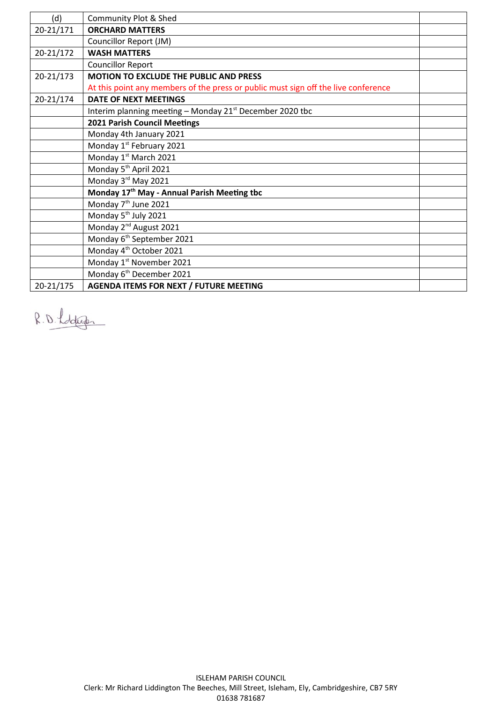| (d)       | Community Plot & Shed                                                              |  |
|-----------|------------------------------------------------------------------------------------|--|
| 20-21/171 | <b>ORCHARD MATTERS</b>                                                             |  |
|           | Councillor Report (JM)                                                             |  |
| 20-21/172 | <b>WASH MATTERS</b>                                                                |  |
|           | <b>Councillor Report</b>                                                           |  |
| 20-21/173 | MOTION TO EXCLUDE THE PUBLIC AND PRESS                                             |  |
|           | At this point any members of the press or public must sign off the live conference |  |
| 20-21/174 | <b>DATE OF NEXT MEETINGS</b>                                                       |  |
|           | Interim planning meeting - Monday 21 <sup>st</sup> December 2020 tbc               |  |
|           | 2021 Parish Council Meetings                                                       |  |
|           | Monday 4th January 2021                                                            |  |
|           | Monday 1st February 2021                                                           |  |
|           | Monday 1st March 2021                                                              |  |
|           | Monday 5 <sup>th</sup> April 2021                                                  |  |
|           | Monday 3rd May 2021                                                                |  |
|           | Monday 17 <sup>th</sup> May - Annual Parish Meeting tbc                            |  |
|           | Monday 7 <sup>th</sup> June 2021                                                   |  |
|           | Monday 5 <sup>th</sup> July 2021                                                   |  |
|           | Monday 2 <sup>nd</sup> August 2021                                                 |  |
|           | Monday 6 <sup>th</sup> September 2021                                              |  |
|           | Monday 4 <sup>th</sup> October 2021                                                |  |
|           | Monday 1st November 2021                                                           |  |
|           | Monday 6 <sup>th</sup> December 2021                                               |  |
| 20-21/175 | <b>AGENDA ITEMS FOR NEXT / FUTURE MEETING</b>                                      |  |

R.D. Lodge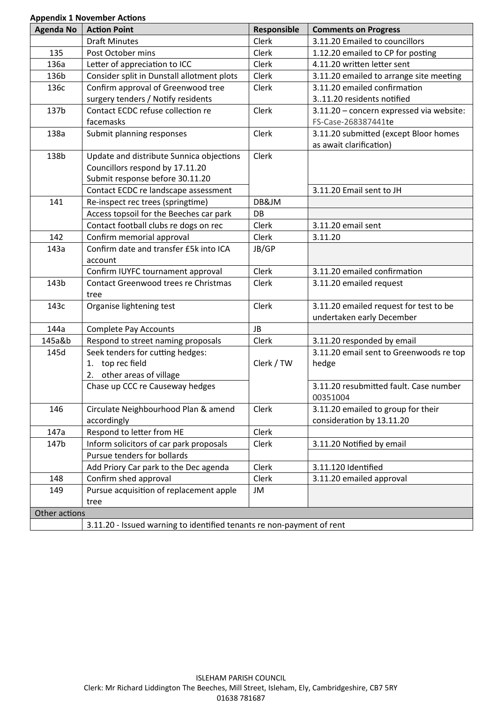# **Appendix 1 November Actions**

| <b>Agenda No</b> | <b>Action Point</b>                                                   | Responsible  | <b>Comments on Progress</b>              |
|------------------|-----------------------------------------------------------------------|--------------|------------------------------------------|
|                  | <b>Draft Minutes</b>                                                  | Clerk        | 3.11.20 Emailed to councillors           |
| 135              | Post October mins                                                     | <b>Clerk</b> | 1.12.20 emailed to CP for posting        |
| 136a             | Letter of appreciation to ICC                                         | Clerk        | 4.11.20 written letter sent              |
| 136b             | Consider split in Dunstall allotment plots                            | Clerk        | 3.11.20 emailed to arrange site meeting  |
| 136с             | Confirm approval of Greenwood tree                                    | Clerk        | 3.11.20 emailed confirmation             |
|                  | surgery tenders / Notify residents                                    |              | 311.20 residents notified                |
| 137b             | Contact ECDC refuse collection re                                     | Clerk        | 3.11.20 - concern expressed via website: |
|                  | facemasks                                                             |              | FS-Case-268387441te                      |
| 138a             | Submit planning responses                                             | Clerk        | 3.11.20 submitted (except Bloor homes    |
|                  |                                                                       |              | as await clarification)                  |
| 138b             | Update and distribute Sunnica objections                              | Clerk        |                                          |
|                  | Councillors respond by 17.11.20                                       |              |                                          |
|                  | Submit response before 30.11.20                                       |              |                                          |
|                  | Contact ECDC re landscape assessment                                  |              | 3.11.20 Email sent to JH                 |
| 141              | Re-inspect rec trees (springtime)                                     | DB&JM        |                                          |
|                  | Access topsoil for the Beeches car park                               | DB           |                                          |
|                  | Contact football clubs re dogs on rec                                 | Clerk        | 3.11.20 email sent                       |
| 142              | Confirm memorial approval                                             | Clerk        | 3.11.20                                  |
| 143a             | Confirm date and transfer £5k into ICA                                | JB/GP        |                                          |
|                  | account                                                               |              |                                          |
|                  | Confirm IUYFC tournament approval                                     | Clerk        | 3.11.20 emailed confirmation             |
| 143b             | Contact Greenwood trees re Christmas                                  | Clerk        | 3.11.20 emailed request                  |
|                  | tree                                                                  |              |                                          |
| 143c             | Organise lightening test                                              | Clerk        | 3.11.20 emailed request for test to be   |
|                  |                                                                       |              | undertaken early December                |
| 144a             | <b>Complete Pay Accounts</b>                                          | JB           |                                          |
| 145a&b           | Respond to street naming proposals                                    | Clerk        | 3.11.20 responded by email               |
| 145d             | Seek tenders for cutting hedges:                                      |              | 3.11.20 email sent to Greenwoods re top  |
|                  | 1. top rec field                                                      | Clerk / TW   | hedge                                    |
|                  | 2. other areas of village                                             |              |                                          |
|                  | Chase up CCC re Causeway hedges                                       |              | 3.11.20 resubmitted fault. Case number   |
|                  |                                                                       |              | 00351004                                 |
| 146              | Circulate Neighbourhood Plan & amend                                  | Clerk        | 3.11.20 emailed to group for their       |
|                  | accordingly                                                           |              | consideration by 13.11.20                |
| 147a             | Respond to letter from HE                                             | Clerk        |                                          |
| 147b             | Inform solicitors of car park proposals                               | Clerk        | 3.11.20 Notified by email                |
|                  | Pursue tenders for bollards                                           |              |                                          |
|                  | Add Priory Car park to the Dec agenda                                 | Clerk        | 3.11.120 Identified                      |
| 148              | Confirm shed approval                                                 | Clerk        | 3.11.20 emailed approval                 |
| 149              | Pursue acquisition of replacement apple                               | JM           |                                          |
|                  | tree                                                                  |              |                                          |
| Other actions    |                                                                       |              |                                          |
|                  | 3.11.20 - Issued warning to identified tenants re non-payment of rent |              |                                          |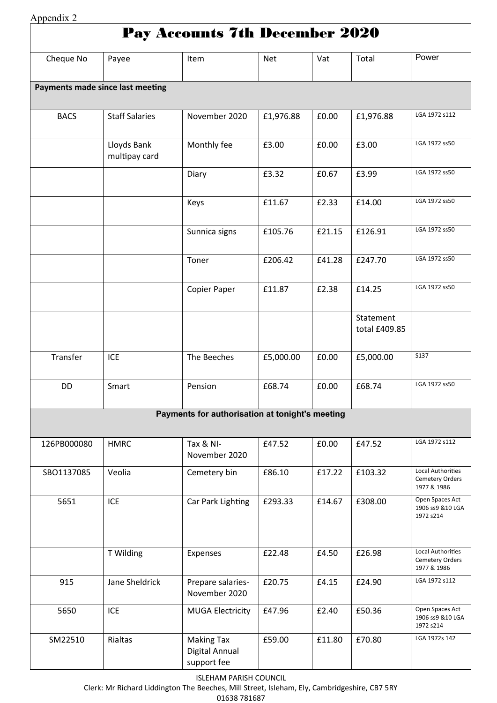| Appendix 2                       |                              |                                                    |            |        |                            |                                                            |  |
|----------------------------------|------------------------------|----------------------------------------------------|------------|--------|----------------------------|------------------------------------------------------------|--|
|                                  |                              | <b>Pay Accounts 7th December 2020</b>              |            |        |                            |                                                            |  |
| Cheque No                        | Payee                        | Item                                               | <b>Net</b> | Vat    | Total                      | Power                                                      |  |
| Payments made since last meeting |                              |                                                    |            |        |                            |                                                            |  |
| <b>BACS</b>                      | <b>Staff Salaries</b>        | November 2020                                      | £1,976.88  | £0.00  | £1,976.88                  | LGA 1972 s112                                              |  |
|                                  | Lloyds Bank<br>multipay card | Monthly fee                                        | £3.00      | £0.00  | £3.00                      | LGA 1972 ss50                                              |  |
|                                  |                              | Diary                                              | £3.32      | £0.67  | £3.99                      | LGA 1972 ss50                                              |  |
|                                  |                              | Keys                                               | £11.67     | £2.33  | £14.00                     | LGA 1972 ss50                                              |  |
|                                  |                              | Sunnica signs                                      | £105.76    | £21.15 | £126.91                    | LGA 1972 ss50                                              |  |
|                                  |                              | Toner                                              | £206.42    | £41.28 | £247.70                    | LGA 1972 ss50                                              |  |
|                                  |                              | Copier Paper                                       | £11.87     | £2.38  | £14.25                     | LGA 1972 ss50                                              |  |
|                                  |                              |                                                    |            |        | Statement<br>total £409.85 |                                                            |  |
| Transfer                         | <b>ICE</b>                   | The Beeches                                        | £5,000.00  | £0.00  | £5,000.00                  | <b>S137</b>                                                |  |
| DD                               | Smart                        | Pension                                            | £68.74     | £0.00  | £68.74                     | LGA 1972 ss50                                              |  |
|                                  |                              | Payments for authorisation at tonight's meeting    |            |        |                            |                                                            |  |
| 126PB000080                      | <b>HMRC</b>                  | Tax & NI-<br>November 2020                         | £47.52     | £0.00  | £47.52                     | LGA 1972 s112                                              |  |
| SBO1137085                       | Veolia                       | Cemetery bin                                       | £86.10     | £17.22 | £103.32                    | <b>Local Authorities</b><br>Cemetery Orders<br>1977 & 1986 |  |
| 5651                             | <b>ICE</b>                   | Car Park Lighting                                  | £293.33    | £14.67 | £308.00                    | Open Spaces Act<br>1906 ss9 & 10 LGA<br>1972 s214          |  |
|                                  | T Wilding                    | Expenses                                           | £22.48     | £4.50  | £26.98                     | Local Authorities<br>Cemetery Orders<br>1977 & 1986        |  |
| 915                              | Jane Sheldrick               | Prepare salaries-<br>November 2020                 | £20.75     | £4.15  | £24.90                     | LGA 1972 s112                                              |  |
| 5650                             | ICE                          | <b>MUGA Electricity</b>                            | £47.96     | £2.40  | £50.36                     | Open Spaces Act<br>1906 ss9 & 10 LGA<br>1972 s214          |  |
| SM22510                          | Rialtas                      | <b>Making Tax</b><br>Digital Annual<br>support fee | £59.00     | £11.80 | £70.80                     | LGA 1972s 142                                              |  |

ISLEHAM PARISH COUNCIL

Clerk: Mr Richard Liddington The Beeches, Mill Street, Isleham, Ely, Cambridgeshire, CB7 5RY